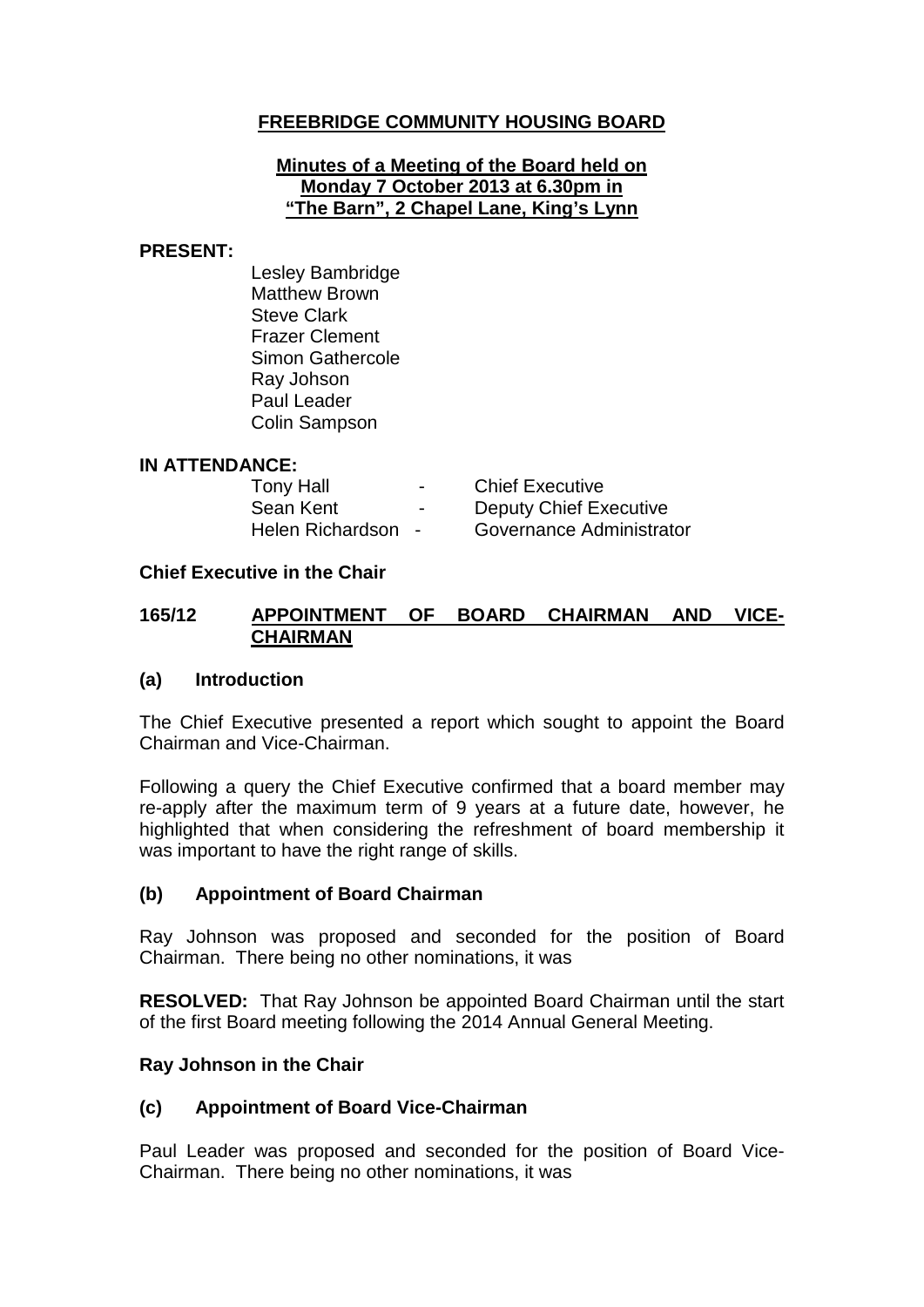# **FREEBRIDGE COMMUNITY HOUSING BOARD**

#### **Minutes of a Meeting of the Board held on Monday 7 October 2013 at 6.30pm in "The Barn", 2 Chapel Lane, King's Lynn**

#### **PRESENT:**

Lesley Bambridge Matthew Brown Steve Clark Frazer Clement Simon Gathercole Ray Johson Paul Leader Colin Sampson

#### **IN ATTENDANCE:**

| <b>Tony Hall</b>   | $\,$           | <b>Chief Executive</b>   |
|--------------------|----------------|--------------------------|
| Sean Kent          | $\blacksquare$ | Deputy Chief Executive   |
| Helen Richardson - |                | Governance Administrator |

#### **Chief Executive in the Chair**

#### **165/12 APPOINTMENT OF BOARD CHAIRMAN AND VICE-CHAIRMAN**

#### **(a) Introduction**

The Chief Executive presented a report which sought to appoint the Board Chairman and Vice-Chairman.

Following a query the Chief Executive confirmed that a board member may re-apply after the maximum term of 9 years at a future date, however, he highlighted that when considering the refreshment of board membership it was important to have the right range of skills.

#### **(b) Appointment of Board Chairman**

Ray Johnson was proposed and seconded for the position of Board Chairman. There being no other nominations, it was

**RESOLVED:** That Ray Johnson be appointed Board Chairman until the start of the first Board meeting following the 2014 Annual General Meeting.

#### **Ray Johnson in the Chair**

#### **(c) Appointment of Board Vice-Chairman**

Paul Leader was proposed and seconded for the position of Board Vice-Chairman. There being no other nominations, it was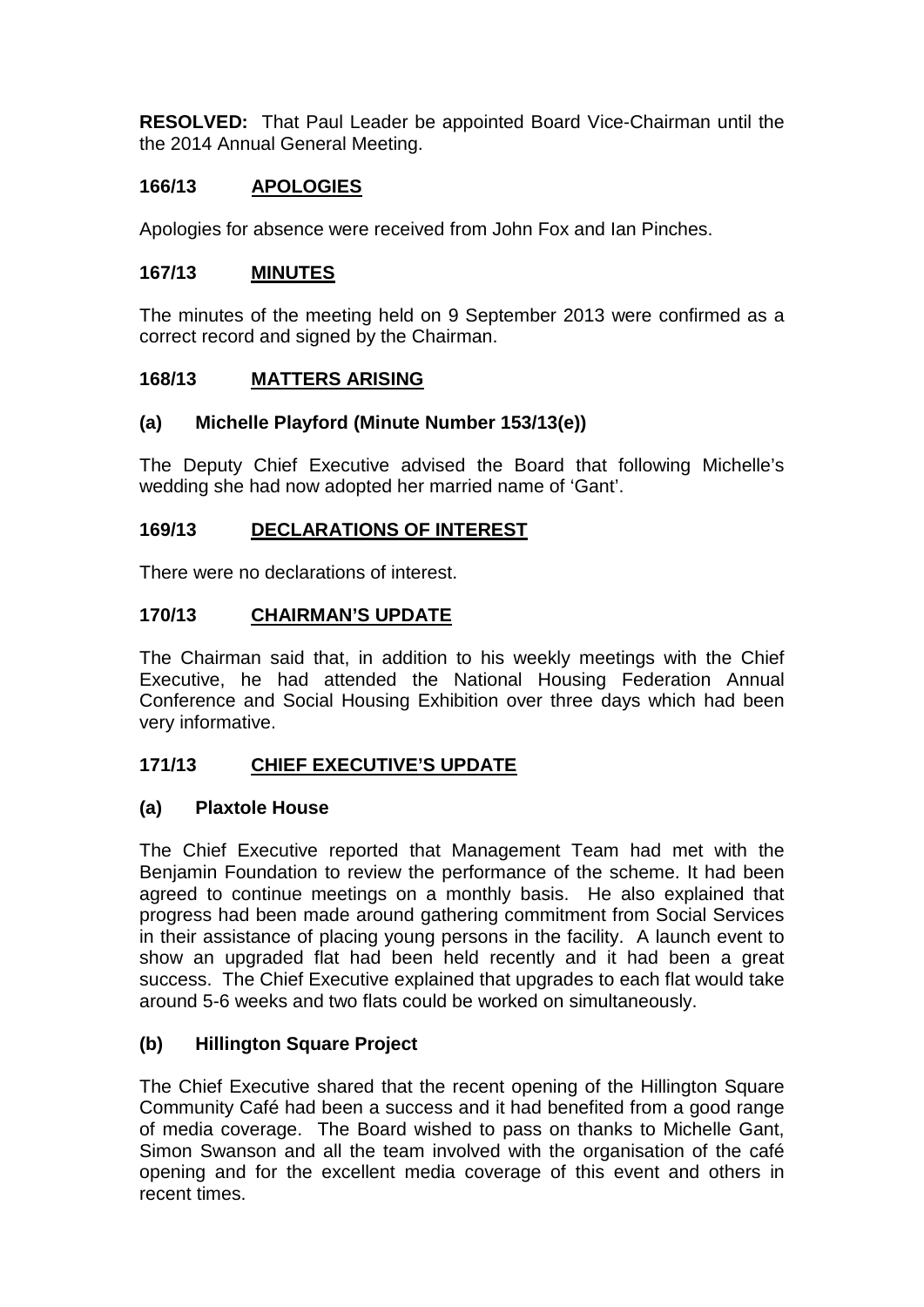**RESOLVED:** That Paul Leader be appointed Board Vice-Chairman until the the 2014 Annual General Meeting.

# **166/13 APOLOGIES**

Apologies for absence were received from John Fox and Ian Pinches.

### **167/13 MINUTES**

The minutes of the meeting held on 9 September 2013 were confirmed as a correct record and signed by the Chairman.

### **168/13 MATTERS ARISING**

### **(a) Michelle Playford (Minute Number 153/13(e))**

The Deputy Chief Executive advised the Board that following Michelle's wedding she had now adopted her married name of 'Gant'.

### **169/13 DECLARATIONS OF INTEREST**

There were no declarations of interest.

### **170/13 CHAIRMAN'S UPDATE**

The Chairman said that, in addition to his weekly meetings with the Chief Executive, he had attended the National Housing Federation Annual Conference and Social Housing Exhibition over three days which had been very informative.

# **171/13 CHIEF EXECUTIVE'S UPDATE**

#### **(a) Plaxtole House**

The Chief Executive reported that Management Team had met with the Benjamin Foundation to review the performance of the scheme. It had been agreed to continue meetings on a monthly basis. He also explained that progress had been made around gathering commitment from Social Services in their assistance of placing young persons in the facility. A launch event to show an upgraded flat had been held recently and it had been a great success. The Chief Executive explained that upgrades to each flat would take around 5-6 weeks and two flats could be worked on simultaneously.

# **(b) Hillington Square Project**

The Chief Executive shared that the recent opening of the Hillington Square Community Café had been a success and it had benefited from a good range of media coverage. The Board wished to pass on thanks to Michelle Gant, Simon Swanson and all the team involved with the organisation of the café opening and for the excellent media coverage of this event and others in recent times.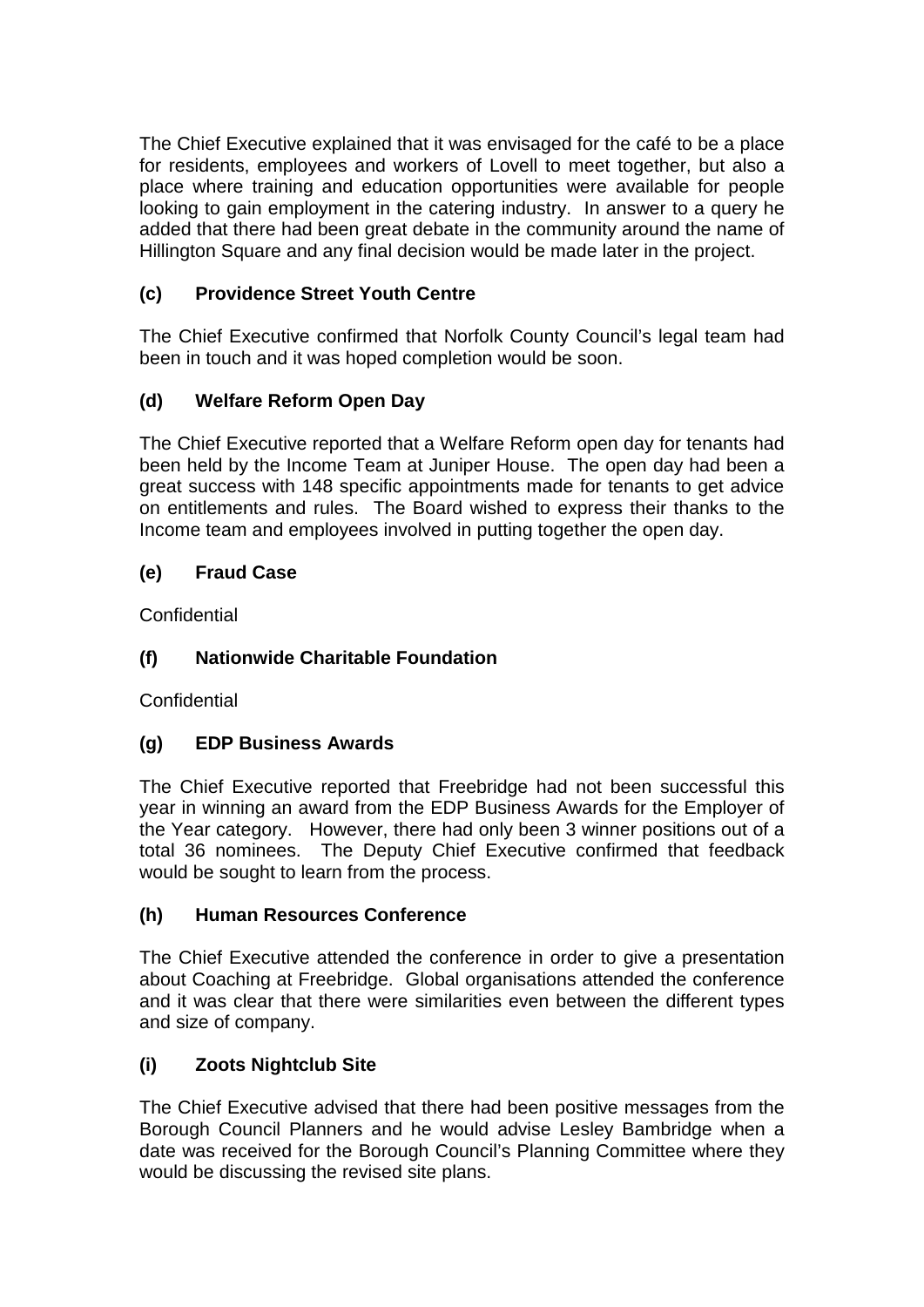The Chief Executive explained that it was envisaged for the café to be a place for residents, employees and workers of Lovell to meet together, but also a place where training and education opportunities were available for people looking to gain employment in the catering industry. In answer to a query he added that there had been great debate in the community around the name of Hillington Square and any final decision would be made later in the project.

# **(c) Providence Street Youth Centre**

The Chief Executive confirmed that Norfolk County Council's legal team had been in touch and it was hoped completion would be soon.

# **(d) Welfare Reform Open Day**

The Chief Executive reported that a Welfare Reform open day for tenants had been held by the Income Team at Juniper House. The open day had been a great success with 148 specific appointments made for tenants to get advice on entitlements and rules. The Board wished to express their thanks to the Income team and employees involved in putting together the open day.

# **(e) Fraud Case**

**Confidential** 

# **(f) Nationwide Charitable Foundation**

**Confidential** 

# **(g) EDP Business Awards**

The Chief Executive reported that Freebridge had not been successful this year in winning an award from the EDP Business Awards for the Employer of the Year category. However, there had only been 3 winner positions out of a total 36 nominees. The Deputy Chief Executive confirmed that feedback would be sought to learn from the process.

# **(h) Human Resources Conference**

The Chief Executive attended the conference in order to give a presentation about Coaching at Freebridge. Global organisations attended the conference and it was clear that there were similarities even between the different types and size of company.

# **(i) Zoots Nightclub Site**

The Chief Executive advised that there had been positive messages from the Borough Council Planners and he would advise Lesley Bambridge when a date was received for the Borough Council's Planning Committee where they would be discussing the revised site plans.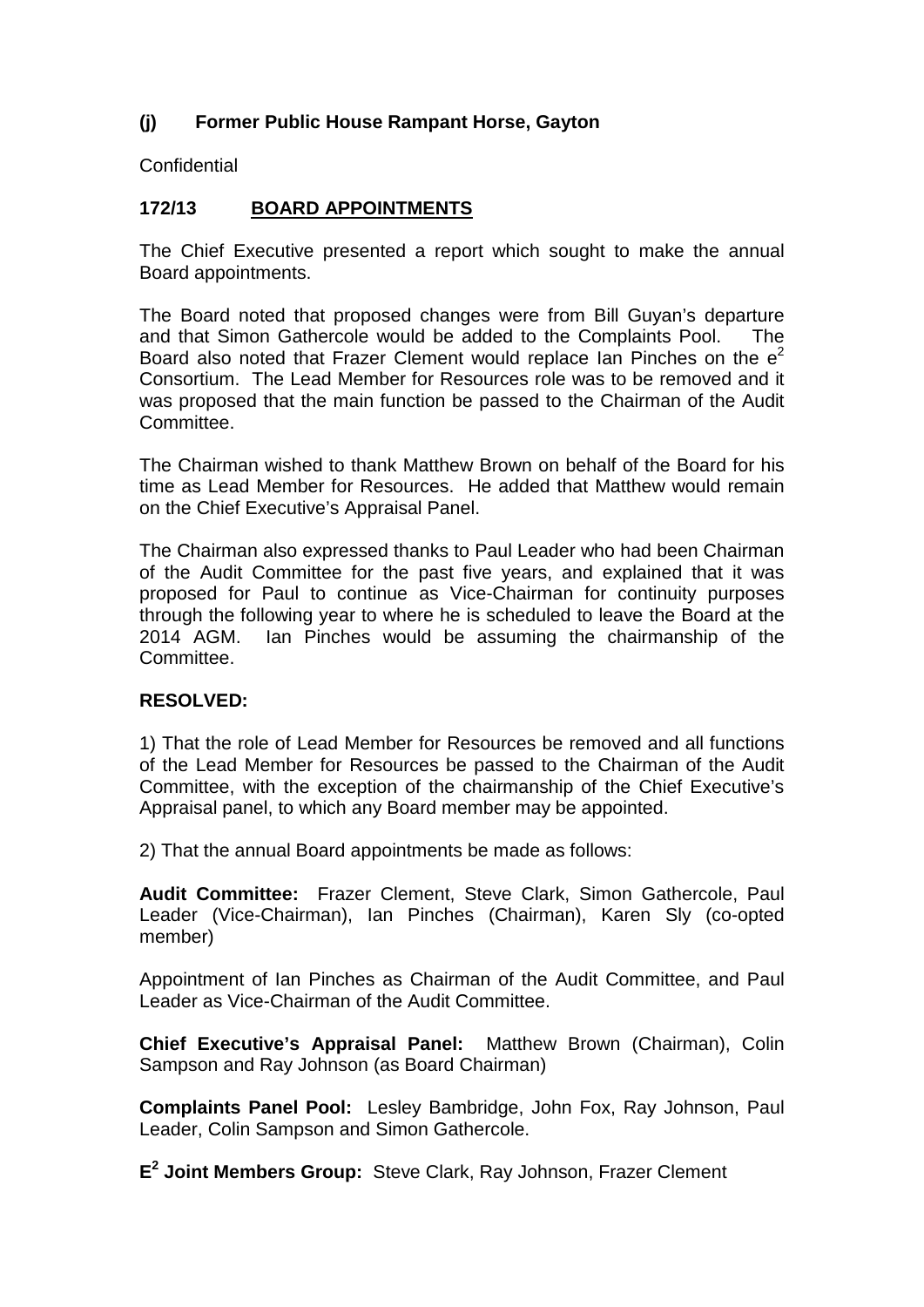# **(j) Former Public House Rampant Horse, Gayton**

**Confidential** 

# **172/13 BOARD APPOINTMENTS**

The Chief Executive presented a report which sought to make the annual Board appointments.

The Board noted that proposed changes were from Bill Guyan's departure and that Simon Gathercole would be added to the Complaints Pool. The Board also noted that Frazer Clement would replace Ian Pinches on the  $e^2$ Consortium. The Lead Member for Resources role was to be removed and it was proposed that the main function be passed to the Chairman of the Audit Committee.

The Chairman wished to thank Matthew Brown on behalf of the Board for his time as Lead Member for Resources. He added that Matthew would remain on the Chief Executive's Appraisal Panel.

The Chairman also expressed thanks to Paul Leader who had been Chairman of the Audit Committee for the past five years, and explained that it was proposed for Paul to continue as Vice-Chairman for continuity purposes through the following year to where he is scheduled to leave the Board at the 2014 AGM. Ian Pinches would be assuming the chairmanship of the Committee.

# **RESOLVED:**

1) That the role of Lead Member for Resources be removed and all functions of the Lead Member for Resources be passed to the Chairman of the Audit Committee, with the exception of the chairmanship of the Chief Executive's Appraisal panel, to which any Board member may be appointed.

2) That the annual Board appointments be made as follows:

**Audit Committee:** Frazer Clement, Steve Clark, Simon Gathercole, Paul Leader (Vice-Chairman), Ian Pinches (Chairman), Karen Sly (co-opted member)

Appointment of Ian Pinches as Chairman of the Audit Committee, and Paul Leader as Vice-Chairman of the Audit Committee.

**Chief Executive's Appraisal Panel:** Matthew Brown (Chairman), Colin Sampson and Ray Johnson (as Board Chairman)

**Complaints Panel Pool:** Lesley Bambridge, John Fox, Ray Johnson, Paul Leader, Colin Sampson and Simon Gathercole.

**E<sup>2</sup> Joint Members Group:** Steve Clark, Ray Johnson, Frazer Clement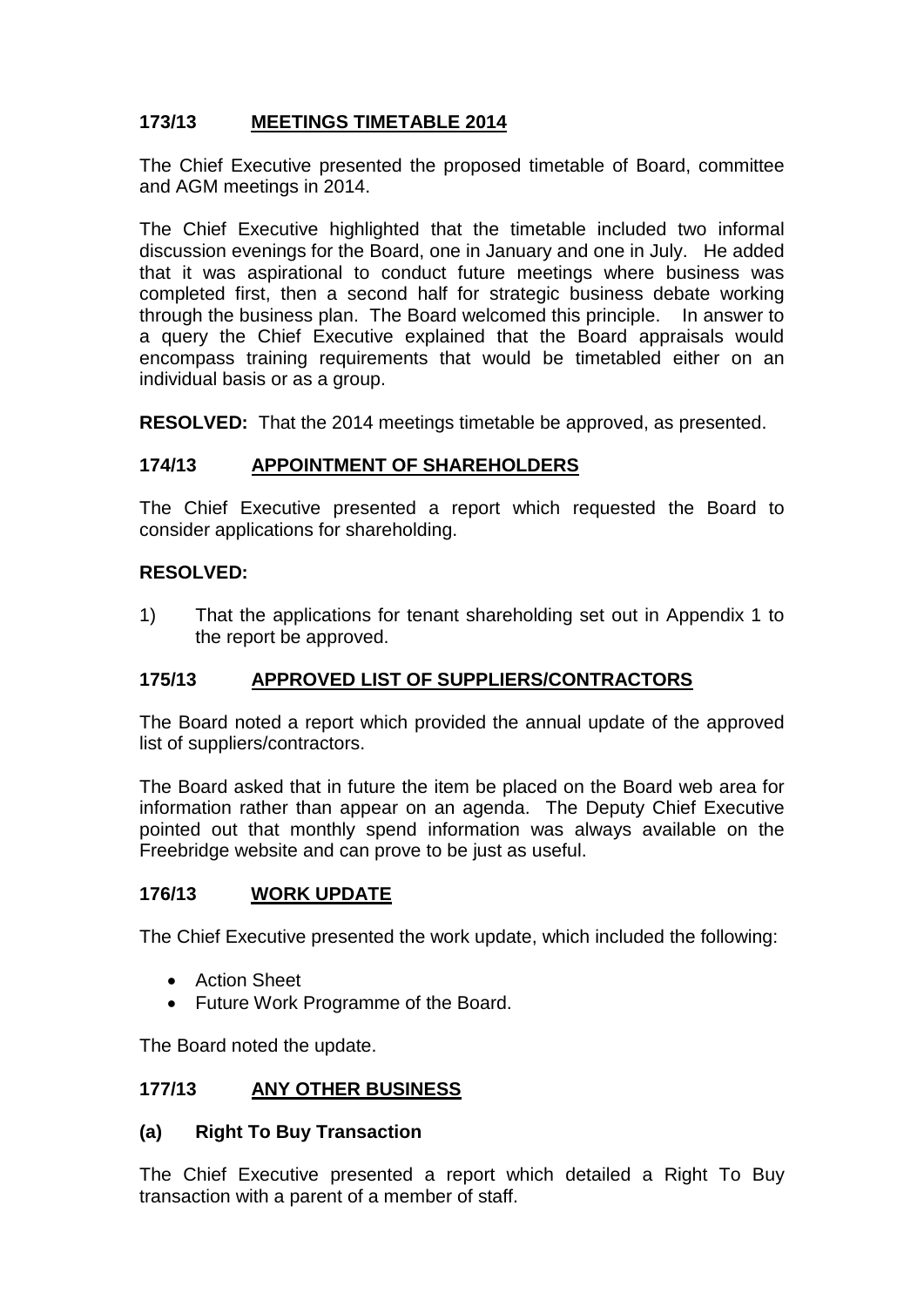# **173/13 MEETINGS TIMETABLE 2014**

The Chief Executive presented the proposed timetable of Board, committee and AGM meetings in 2014.

The Chief Executive highlighted that the timetable included two informal discussion evenings for the Board, one in January and one in July. He added that it was aspirational to conduct future meetings where business was completed first, then a second half for strategic business debate working through the business plan. The Board welcomed this principle. In answer to a query the Chief Executive explained that the Board appraisals would encompass training requirements that would be timetabled either on an individual basis or as a group.

**RESOLVED:** That the 2014 meetings timetable be approved, as presented.

# **174/13 APPOINTMENT OF SHAREHOLDERS**

The Chief Executive presented a report which requested the Board to consider applications for shareholding.

### **RESOLVED:**

1) That the applications for tenant shareholding set out in Appendix 1 to the report be approved.

# **175/13 APPROVED LIST OF SUPPLIERS/CONTRACTORS**

The Board noted a report which provided the annual update of the approved list of suppliers/contractors.

The Board asked that in future the item be placed on the Board web area for information rather than appear on an agenda. The Deputy Chief Executive pointed out that monthly spend information was always available on the Freebridge website and can prove to be just as useful.

#### **176/13 WORK UPDATE**

The Chief Executive presented the work update, which included the following:

- Action Sheet
- Future Work Programme of the Board.

The Board noted the update.

# **177/13 ANY OTHER BUSINESS**

#### **(a) Right To Buy Transaction**

The Chief Executive presented a report which detailed a Right To Buy transaction with a parent of a member of staff.